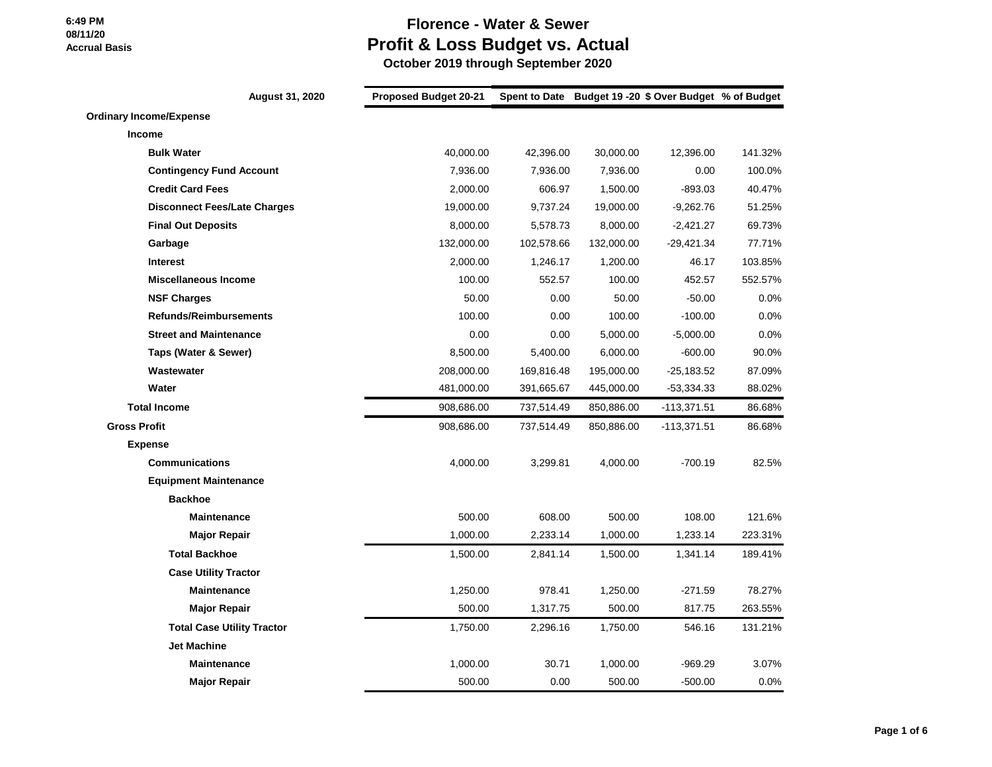### **Florence - Water & Sewer Profit & Loss Budget vs. Actual**

|                                | August 31, 2020                     | <b>Proposed Budget 20-21</b> |            |            | Spent to Date Budget 19 -20 \$ Over Budget % of Budget |         |
|--------------------------------|-------------------------------------|------------------------------|------------|------------|--------------------------------------------------------|---------|
| <b>Ordinary Income/Expense</b> |                                     |                              |            |            |                                                        |         |
| <b>Income</b>                  |                                     |                              |            |            |                                                        |         |
|                                | <b>Bulk Water</b>                   | 40,000.00                    | 42,396.00  | 30,000.00  | 12,396.00                                              | 141.32% |
|                                | <b>Contingency Fund Account</b>     | 7,936.00                     | 7,936.00   | 7,936.00   | 0.00                                                   | 100.0%  |
|                                | <b>Credit Card Fees</b>             | 2,000.00                     | 606.97     | 1,500.00   | $-893.03$                                              | 40.47%  |
|                                | <b>Disconnect Fees/Late Charges</b> | 19,000.00                    | 9,737.24   | 19,000.00  | $-9,262.76$                                            | 51.25%  |
|                                | <b>Final Out Deposits</b>           | 8,000.00                     | 5,578.73   | 8,000.00   | $-2,421.27$                                            | 69.73%  |
|                                | Garbage                             | 132,000.00                   | 102,578.66 | 132,000.00 | $-29,421.34$                                           | 77.71%  |
|                                | <b>Interest</b>                     | 2,000.00                     | 1,246.17   | 1,200.00   | 46.17                                                  | 103.85% |
|                                | <b>Miscellaneous Income</b>         | 100.00                       | 552.57     | 100.00     | 452.57                                                 | 552.57% |
|                                | <b>NSF Charges</b>                  | 50.00                        | 0.00       | 50.00      | $-50.00$                                               | 0.0%    |
|                                | <b>Refunds/Reimbursements</b>       | 100.00                       | 0.00       | 100.00     | $-100.00$                                              | 0.0%    |
|                                | <b>Street and Maintenance</b>       | 0.00                         | 0.00       | 5,000.00   | $-5,000.00$                                            | 0.0%    |
|                                | Taps (Water & Sewer)                | 8,500.00                     | 5,400.00   | 6,000.00   | $-600.00$                                              | 90.0%   |
|                                | Wastewater                          | 208,000.00                   | 169,816.48 | 195,000.00 | $-25,183.52$                                           | 87.09%  |
|                                | Water                               | 481,000.00                   | 391,665.67 | 445,000.00 | $-53,334.33$                                           | 88.02%  |
| <b>Total Income</b>            |                                     | 908,686.00                   | 737,514.49 | 850,886.00 | $-113,371.51$                                          | 86.68%  |
| <b>Gross Profit</b>            |                                     | 908,686.00                   | 737,514.49 | 850,886.00 | -113,371.51                                            | 86.68%  |
| <b>Expense</b>                 |                                     |                              |            |            |                                                        |         |
|                                | <b>Communications</b>               | 4,000.00                     | 3,299.81   | 4,000.00   | $-700.19$                                              | 82.5%   |
|                                | <b>Equipment Maintenance</b>        |                              |            |            |                                                        |         |
|                                | <b>Backhoe</b>                      |                              |            |            |                                                        |         |
|                                | <b>Maintenance</b>                  | 500.00                       | 608.00     | 500.00     | 108.00                                                 | 121.6%  |
|                                | <b>Major Repair</b>                 | 1,000.00                     | 2,233.14   | 1,000.00   | 1,233.14                                               | 223.31% |
|                                | <b>Total Backhoe</b>                | 1,500.00                     | 2,841.14   | 1,500.00   | 1,341.14                                               | 189.41% |
|                                | <b>Case Utility Tractor</b>         |                              |            |            |                                                        |         |
|                                | <b>Maintenance</b>                  | 1,250.00                     | 978.41     | 1,250.00   | $-271.59$                                              | 78.27%  |
|                                | <b>Major Repair</b>                 | 500.00                       | 1,317.75   | 500.00     | 817.75                                                 | 263.55% |
|                                | <b>Total Case Utility Tractor</b>   | 1,750.00                     | 2,296.16   | 1,750.00   | 546.16                                                 | 131.21% |
|                                | <b>Jet Machine</b>                  |                              |            |            |                                                        |         |
|                                | <b>Maintenance</b>                  | 1,000.00                     | 30.71      | 1,000.00   | $-969.29$                                              | 3.07%   |
|                                | <b>Major Repair</b>                 | 500.00                       | 0.00       | 500.00     | $-500.00$                                              | $0.0\%$ |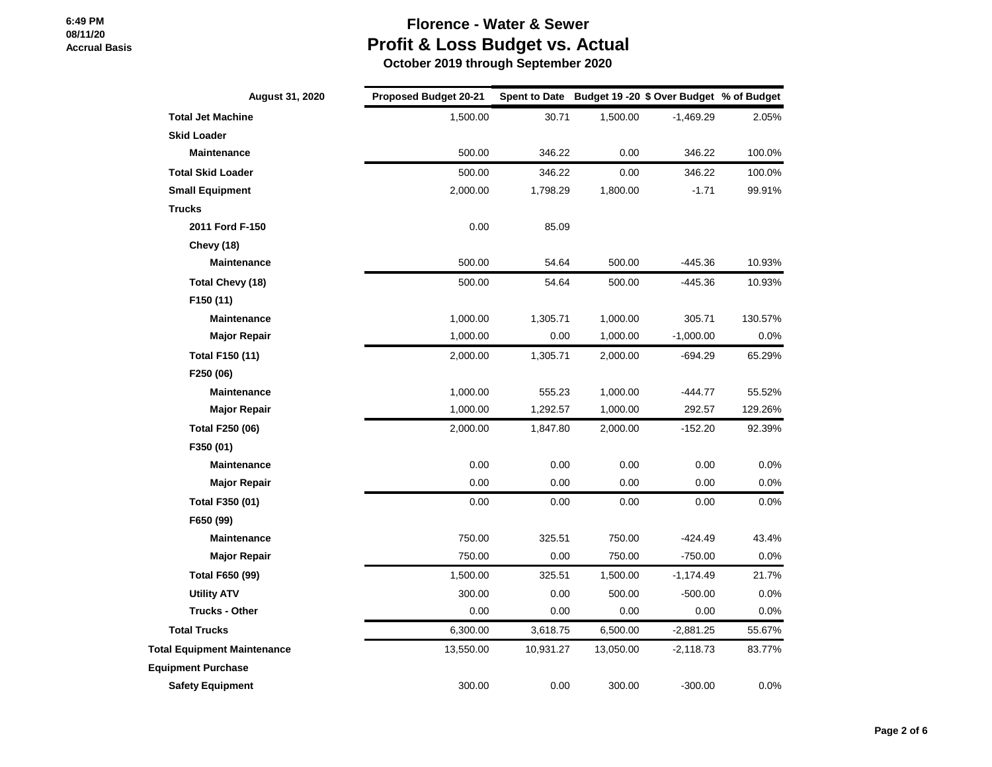# **Florence - Water & Sewer Profit & Loss Budget vs. Actual**

| August 31, 2020                    | <b>Proposed Budget 20-21</b> |           |           | Spent to Date Budget 19 -20 \$ Over Budget % of Budget |         |
|------------------------------------|------------------------------|-----------|-----------|--------------------------------------------------------|---------|
| <b>Total Jet Machine</b>           | 1,500.00                     | 30.71     | 1,500.00  | $-1,469.29$                                            | 2.05%   |
| <b>Skid Loader</b>                 |                              |           |           |                                                        |         |
| <b>Maintenance</b>                 | 500.00                       | 346.22    | 0.00      | 346.22                                                 | 100.0%  |
| <b>Total Skid Loader</b>           | 500.00                       | 346.22    | 0.00      | 346.22                                                 | 100.0%  |
| <b>Small Equipment</b>             | 2,000.00                     | 1,798.29  | 1,800.00  | $-1.71$                                                | 99.91%  |
| <b>Trucks</b>                      |                              |           |           |                                                        |         |
| 2011 Ford F-150                    | 0.00                         | 85.09     |           |                                                        |         |
| <b>Chevy (18)</b>                  |                              |           |           |                                                        |         |
| Maintenance                        | 500.00                       | 54.64     | 500.00    | $-445.36$                                              | 10.93%  |
| Total Chevy (18)                   | 500.00                       | 54.64     | 500.00    | $-445.36$                                              | 10.93%  |
| F150 (11)                          |                              |           |           |                                                        |         |
| <b>Maintenance</b>                 | 1,000.00                     | 1,305.71  | 1,000.00  | 305.71                                                 | 130.57% |
| <b>Major Repair</b>                | 1,000.00                     | 0.00      | 1,000.00  | $-1,000.00$                                            | 0.0%    |
| Total F150 (11)                    | 2,000.00                     | 1,305.71  | 2,000.00  | $-694.29$                                              | 65.29%  |
| F250 (06)                          |                              |           |           |                                                        |         |
| <b>Maintenance</b>                 | 1,000.00                     | 555.23    | 1,000.00  | $-444.77$                                              | 55.52%  |
| <b>Major Repair</b>                | 1,000.00                     | 1,292.57  | 1,000.00  | 292.57                                                 | 129.26% |
| <b>Total F250 (06)</b>             | 2,000.00                     | 1,847.80  | 2,000.00  | $-152.20$                                              | 92.39%  |
| F350 (01)                          |                              |           |           |                                                        |         |
| Maintenance                        | 0.00                         | 0.00      | 0.00      | 0.00                                                   | 0.0%    |
| Major Repair                       | 0.00                         | 0.00      | 0.00      | 0.00                                                   | 0.0%    |
| Total F350 (01)                    | 0.00                         | 0.00      | 0.00      | 0.00                                                   | 0.0%    |
| F650 (99)                          |                              |           |           |                                                        |         |
| <b>Maintenance</b>                 | 750.00                       | 325.51    | 750.00    | $-424.49$                                              | 43.4%   |
| <b>Major Repair</b>                | 750.00                       | 0.00      | 750.00    | $-750.00$                                              | 0.0%    |
| <b>Total F650 (99)</b>             | 1,500.00                     | 325.51    | 1,500.00  | $-1,174.49$                                            | 21.7%   |
| <b>Utility ATV</b>                 | 300.00                       | 0.00      | 500.00    | $-500.00$                                              | 0.0%    |
| <b>Trucks - Other</b>              | 0.00                         | 0.00      | 0.00      | 0.00                                                   | 0.0%    |
| <b>Total Trucks</b>                | 6,300.00                     | 3,618.75  | 6,500.00  | $-2,881.25$                                            | 55.67%  |
| <b>Total Equipment Maintenance</b> | 13,550.00                    | 10,931.27 | 13,050.00 | $-2,118.73$                                            | 83.77%  |
| <b>Equipment Purchase</b>          |                              |           |           |                                                        |         |
| <b>Safety Equipment</b>            | 300.00                       | 0.00      | 300.00    | $-300.00$                                              | 0.0%    |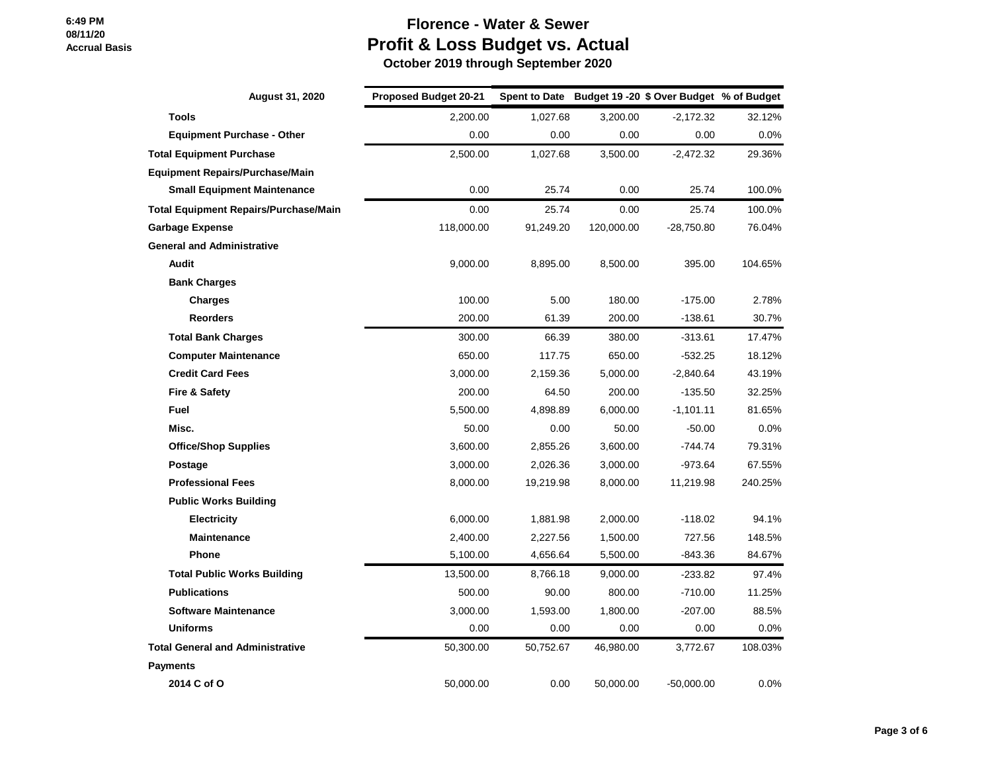# **Florence - Water & Sewer Profit & Loss Budget vs. Actual**

| <b>August 31, 2020</b>                       | <b>Proposed Budget 20-21</b> |           |            | Spent to Date Budget 19 - 20 \$ Over Budget % of Budget |         |
|----------------------------------------------|------------------------------|-----------|------------|---------------------------------------------------------|---------|
| <b>Tools</b>                                 | 2,200.00                     | 1,027.68  | 3,200.00   | $-2,172.32$                                             | 32.12%  |
| <b>Equipment Purchase - Other</b>            | 0.00                         | 0.00      | 0.00       | 0.00                                                    | $0.0\%$ |
| <b>Total Equipment Purchase</b>              | 2,500.00                     | 1,027.68  | 3,500.00   | $-2,472.32$                                             | 29.36%  |
| <b>Equipment Repairs/Purchase/Main</b>       |                              |           |            |                                                         |         |
| <b>Small Equipment Maintenance</b>           | 0.00                         | 25.74     | 0.00       | 25.74                                                   | 100.0%  |
| <b>Total Equipment Repairs/Purchase/Main</b> | 0.00                         | 25.74     | 0.00       | 25.74                                                   | 100.0%  |
| <b>Garbage Expense</b>                       | 118,000.00                   | 91,249.20 | 120,000.00 | $-28,750.80$                                            | 76.04%  |
| <b>General and Administrative</b>            |                              |           |            |                                                         |         |
| Audit                                        | 9,000.00                     | 8,895.00  | 8,500.00   | 395.00                                                  | 104.65% |
| <b>Bank Charges</b>                          |                              |           |            |                                                         |         |
| <b>Charges</b>                               | 100.00                       | 5.00      | 180.00     | $-175.00$                                               | 2.78%   |
| <b>Reorders</b>                              | 200.00                       | 61.39     | 200.00     | $-138.61$                                               | 30.7%   |
| <b>Total Bank Charges</b>                    | 300.00                       | 66.39     | 380.00     | $-313.61$                                               | 17.47%  |
| <b>Computer Maintenance</b>                  | 650.00                       | 117.75    | 650.00     | $-532.25$                                               | 18.12%  |
| <b>Credit Card Fees</b>                      | 3,000.00                     | 2,159.36  | 5,000.00   | $-2,840.64$                                             | 43.19%  |
| <b>Fire &amp; Safety</b>                     | 200.00                       | 64.50     | 200.00     | $-135.50$                                               | 32.25%  |
| Fuel                                         | 5,500.00                     | 4,898.89  | 6,000.00   | $-1,101.11$                                             | 81.65%  |
| Misc.                                        | 50.00                        | 0.00      | 50.00      | $-50.00$                                                | $0.0\%$ |
| <b>Office/Shop Supplies</b>                  | 3,600.00                     | 2,855.26  | 3,600.00   | $-744.74$                                               | 79.31%  |
| Postage                                      | 3,000.00                     | 2,026.36  | 3,000.00   | $-973.64$                                               | 67.55%  |
| <b>Professional Fees</b>                     | 8,000.00                     | 19,219.98 | 8,000.00   | 11,219.98                                               | 240.25% |
| <b>Public Works Building</b>                 |                              |           |            |                                                         |         |
| <b>Electricity</b>                           | 6,000.00                     | 1,881.98  | 2,000.00   | $-118.02$                                               | 94.1%   |
| <b>Maintenance</b>                           | 2,400.00                     | 2,227.56  | 1,500.00   | 727.56                                                  | 148.5%  |
| Phone                                        | 5,100.00                     | 4,656.64  | 5,500.00   | -843.36                                                 | 84.67%  |
| <b>Total Public Works Building</b>           | 13,500.00                    | 8,766.18  | 9,000.00   | $-233.82$                                               | 97.4%   |
| <b>Publications</b>                          | 500.00                       | 90.00     | 800.00     | $-710.00$                                               | 11.25%  |
| <b>Software Maintenance</b>                  | 3,000.00                     | 1,593.00  | 1,800.00   | $-207.00$                                               | 88.5%   |
| <b>Uniforms</b>                              | 0.00                         | 0.00      | 0.00       | 0.00                                                    | $0.0\%$ |
| <b>Total General and Administrative</b>      | 50,300.00                    | 50,752.67 | 46,980.00  | 3,772.67                                                | 108.03% |
| <b>Payments</b>                              |                              |           |            |                                                         |         |
| 2014 C of O                                  | 50,000.00                    | 0.00      | 50,000.00  | $-50,000.00$                                            | 0.0%    |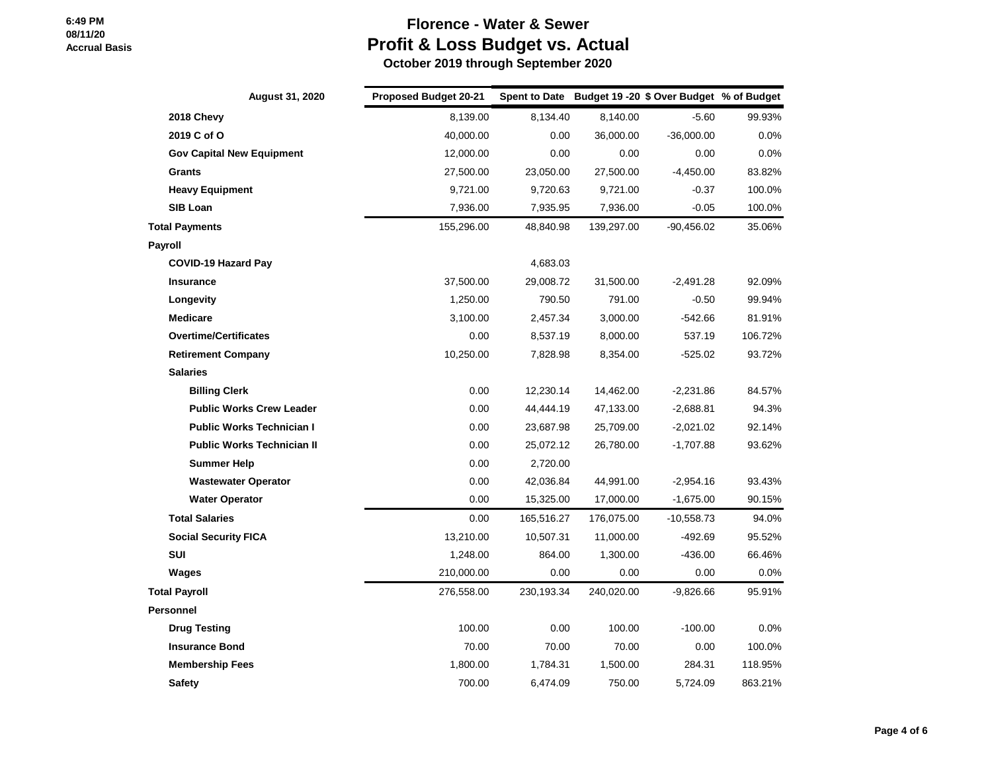## **Florence - Water & Sewer Profit & Loss Budget vs. Actual**

| <b>August 31, 2020</b>            | <b>Proposed Budget 20-21</b> |            |            | Spent to Date Budget 19 - 20 \$ Over Budget % of Budget |         |
|-----------------------------------|------------------------------|------------|------------|---------------------------------------------------------|---------|
| 2018 Chevy                        | 8,139.00                     | 8,134.40   | 8,140.00   | $-5.60$                                                 | 99.93%  |
| 2019 C of O                       | 40,000.00                    | 0.00       | 36,000.00  | $-36,000.00$                                            | $0.0\%$ |
| <b>Gov Capital New Equipment</b>  | 12,000.00                    | 0.00       | 0.00       | 0.00                                                    | 0.0%    |
| Grants                            | 27,500.00                    | 23,050.00  | 27,500.00  | $-4,450.00$                                             | 83.82%  |
| <b>Heavy Equipment</b>            | 9,721.00                     | 9,720.63   | 9,721.00   | $-0.37$                                                 | 100.0%  |
| <b>SIB Loan</b>                   | 7,936.00                     | 7,935.95   | 7,936.00   | $-0.05$                                                 | 100.0%  |
| <b>Total Payments</b>             | 155,296.00                   | 48,840.98  | 139,297.00 | $-90,456.02$                                            | 35.06%  |
| Payroll                           |                              |            |            |                                                         |         |
| <b>COVID-19 Hazard Pay</b>        |                              | 4,683.03   |            |                                                         |         |
| <b>Insurance</b>                  | 37,500.00                    | 29,008.72  | 31,500.00  | $-2,491.28$                                             | 92.09%  |
| Longevity                         | 1,250.00                     | 790.50     | 791.00     | $-0.50$                                                 | 99.94%  |
| <b>Medicare</b>                   | 3,100.00                     | 2,457.34   | 3,000.00   | $-542.66$                                               | 81.91%  |
| <b>Overtime/Certificates</b>      | 0.00                         | 8,537.19   | 8,000.00   | 537.19                                                  | 106.72% |
| <b>Retirement Company</b>         | 10,250.00                    | 7,828.98   | 8,354.00   | $-525.02$                                               | 93.72%  |
| <b>Salaries</b>                   |                              |            |            |                                                         |         |
| <b>Billing Clerk</b>              | 0.00                         | 12,230.14  | 14,462.00  | $-2,231.86$                                             | 84.57%  |
| <b>Public Works Crew Leader</b>   | 0.00                         | 44,444.19  | 47,133.00  | $-2,688.81$                                             | 94.3%   |
| <b>Public Works Technician I</b>  | 0.00                         | 23,687.98  | 25,709.00  | $-2,021.02$                                             | 92.14%  |
| <b>Public Works Technician II</b> | 0.00                         | 25,072.12  | 26,780.00  | $-1,707.88$                                             | 93.62%  |
| <b>Summer Help</b>                | 0.00                         | 2,720.00   |            |                                                         |         |
| <b>Wastewater Operator</b>        | 0.00                         | 42,036.84  | 44,991.00  | $-2,954.16$                                             | 93.43%  |
| <b>Water Operator</b>             | 0.00                         | 15,325.00  | 17,000.00  | $-1,675.00$                                             | 90.15%  |
| <b>Total Salaries</b>             | 0.00                         | 165,516.27 | 176,075.00 | $-10,558.73$                                            | 94.0%   |
| <b>Social Security FICA</b>       | 13,210.00                    | 10,507.31  | 11,000.00  | $-492.69$                                               | 95.52%  |
| SUI                               | 1,248.00                     | 864.00     | 1,300.00   | $-436.00$                                               | 66.46%  |
| Wages                             | 210,000.00                   | 0.00       | 0.00       | 0.00                                                    | 0.0%    |
| <b>Total Payroll</b>              | 276,558.00                   | 230,193.34 | 240,020.00 | $-9,826.66$                                             | 95.91%  |
| Personnel                         |                              |            |            |                                                         |         |
| <b>Drug Testing</b>               | 100.00                       | 0.00       | 100.00     | $-100.00$                                               | $0.0\%$ |
| <b>Insurance Bond</b>             | 70.00                        | 70.00      | 70.00      | 0.00                                                    | 100.0%  |
| <b>Membership Fees</b>            | 1,800.00                     | 1,784.31   | 1,500.00   | 284.31                                                  | 118.95% |
| <b>Safety</b>                     | 700.00                       | 6,474.09   | 750.00     | 5,724.09                                                | 863.21% |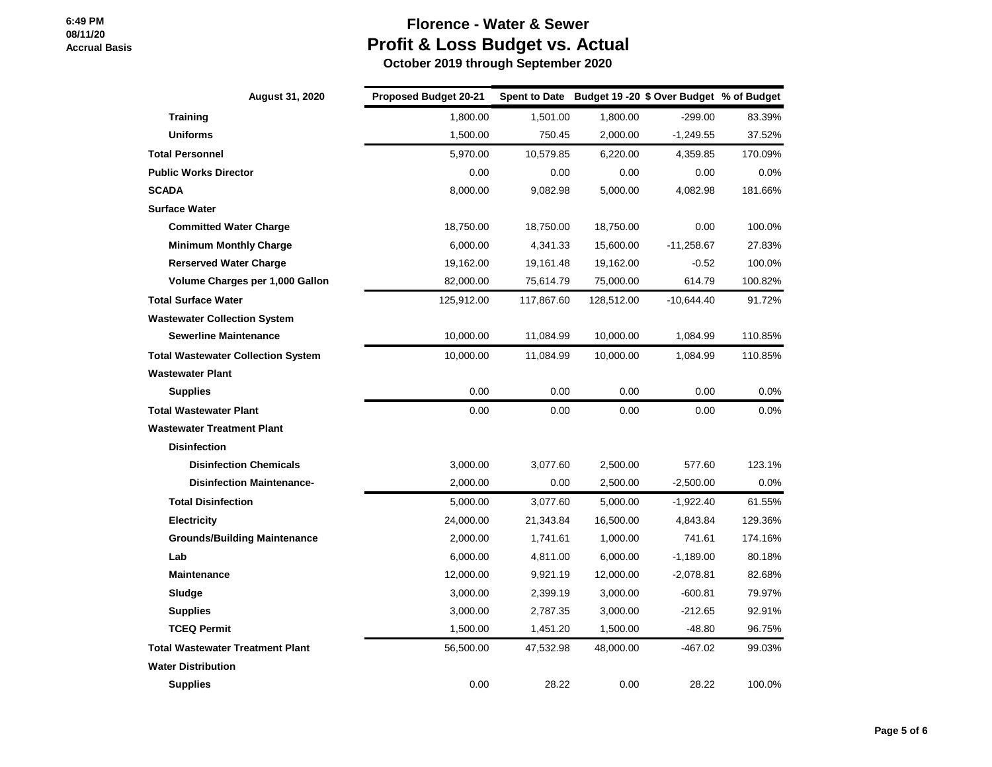# **Florence - Water & Sewer Profit & Loss Budget vs. Actual**

| <b>August 31, 2020</b>                    | <b>Proposed Budget 20-21</b> |            |            | Spent to Date Budget 19 - 20 \$ Over Budget % of Budget |         |
|-------------------------------------------|------------------------------|------------|------------|---------------------------------------------------------|---------|
| <b>Training</b>                           | 1,800.00                     | 1,501.00   | 1,800.00   | $-299.00$                                               | 83.39%  |
| <b>Uniforms</b>                           | 1,500.00                     | 750.45     | 2,000.00   | $-1,249.55$                                             | 37.52%  |
| <b>Total Personnel</b>                    | 5,970.00                     | 10,579.85  | 6,220.00   | 4,359.85                                                | 170.09% |
| <b>Public Works Director</b>              | 0.00                         | 0.00       | 0.00       | 0.00                                                    | 0.0%    |
| <b>SCADA</b>                              | 8.000.00                     | 9,082.98   | 5.000.00   | 4,082.98                                                | 181.66% |
| <b>Surface Water</b>                      |                              |            |            |                                                         |         |
| <b>Committed Water Charge</b>             | 18,750.00                    | 18,750.00  | 18,750.00  | 0.00                                                    | 100.0%  |
| <b>Minimum Monthly Charge</b>             | 6.000.00                     | 4,341.33   | 15,600.00  | $-11,258.67$                                            | 27.83%  |
| <b>Rerserved Water Charge</b>             | 19,162.00                    | 19,161.48  | 19,162.00  | $-0.52$                                                 | 100.0%  |
| Volume Charges per 1,000 Gallon           | 82,000.00                    | 75,614.79  | 75,000.00  | 614.79                                                  | 100.82% |
| <b>Total Surface Water</b>                | 125,912.00                   | 117,867.60 | 128,512.00 | $-10,644.40$                                            | 91.72%  |
| <b>Wastewater Collection System</b>       |                              |            |            |                                                         |         |
| <b>Sewerline Maintenance</b>              | 10,000.00                    | 11,084.99  | 10,000.00  | 1,084.99                                                | 110.85% |
| <b>Total Wastewater Collection System</b> | 10,000.00                    | 11,084.99  | 10,000.00  | 1,084.99                                                | 110.85% |
| <b>Wastewater Plant</b>                   |                              |            |            |                                                         |         |
| <b>Supplies</b>                           | 0.00                         | 0.00       | 0.00       | 0.00                                                    | 0.0%    |
| <b>Total Wastewater Plant</b>             | 0.00                         | 0.00       | 0.00       | 0.00                                                    | 0.0%    |
| <b>Wastewater Treatment Plant</b>         |                              |            |            |                                                         |         |
| <b>Disinfection</b>                       |                              |            |            |                                                         |         |
| <b>Disinfection Chemicals</b>             | 3,000.00                     | 3,077.60   | 2,500.00   | 577.60                                                  | 123.1%  |
| <b>Disinfection Maintenance-</b>          | 2,000.00                     | 0.00       | 2,500.00   | $-2,500.00$                                             | 0.0%    |
| <b>Total Disinfection</b>                 | 5,000.00                     | 3,077.60   | 5,000.00   | $-1,922.40$                                             | 61.55%  |
| <b>Electricity</b>                        | 24,000.00                    | 21,343.84  | 16,500.00  | 4,843.84                                                | 129.36% |
| <b>Grounds/Building Maintenance</b>       | 2,000.00                     | 1,741.61   | 1,000.00   | 741.61                                                  | 174.16% |
| Lab                                       | 6,000.00                     | 4,811.00   | 6,000.00   | $-1,189.00$                                             | 80.18%  |
| <b>Maintenance</b>                        | 12,000.00                    | 9,921.19   | 12,000.00  | $-2,078.81$                                             | 82.68%  |
| Sludge                                    | 3,000.00                     | 2,399.19   | 3,000.00   | $-600.81$                                               | 79.97%  |
| <b>Supplies</b>                           | 3,000.00                     | 2,787.35   | 3,000.00   | $-212.65$                                               | 92.91%  |
| <b>TCEQ Permit</b>                        | 1,500.00                     | 1,451.20   | 1,500.00   | $-48.80$                                                | 96.75%  |
| <b>Total Wastewater Treatment Plant</b>   | 56,500.00                    | 47,532.98  | 48,000.00  | $-467.02$                                               | 99.03%  |
| <b>Water Distribution</b>                 |                              |            |            |                                                         |         |
| <b>Supplies</b>                           | 0.00                         | 28.22      | 0.00       | 28.22                                                   | 100.0%  |